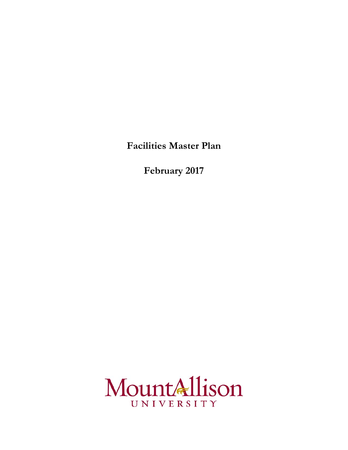**Facilities Master Plan**

**February 2017**

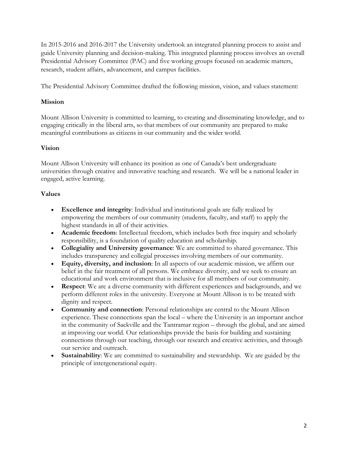In 2015-2016 and 2016-2017 the University undertook an integrated planning process to assist and guide University planning and decision-making. This integrated planning process involves an overall Presidential Advisory Committee (PAC) and five working groups focused on academic matters, research, student affairs, advancement, and campus facilities.

The Presidential Advisory Committee drafted the following mission, vision, and values statement:

#### **Mission**

Mount Allison University is committed to learning, to creating and disseminating knowledge, and to engaging critically in the liberal arts, so that members of our community are prepared to make meaningful contributions as citizens in our community and the wider world.

#### **Vision**

Mount Allison University will enhance its position as one of Canada's best undergraduate universities through creative and innovative teaching and research. We will be a national leader in engaged, active learning.

#### **Values**

- **Excellence and integrity**: Individual and institutional goals are fully realized by empowering the members of our community (students, faculty, and staff) to apply the highest standards in all of their activities.
- **Academic freedom**: Intellectual freedom, which includes both free inquiry and scholarly responsibility, is a foundation of quality education and scholarship.
- **Collegiality and University governance**: We are committed to shared governance. This includes transparency and collegial processes involving members of our community.
- **Equity, diversity, and inclusion**: In all aspects of our academic mission, we affirm our belief in the fair treatment of all persons. We embrace diversity, and we seek to ensure an educational and work environment that is inclusive for all members of our community.
- **Respect**: We are a diverse community with different experiences and backgrounds, and we perform different roles in the university. Everyone at Mount Allison is to be treated with dignity and respect.
- **Community and connection**: Personal relationships are central to the Mount Allison experience. These connections span the local – where the University is an important anchor in the community of Sackville and the Tantramar region – through the global, and are aimed at improving our world. Our relationships provide the basis for building and sustaining connections through our teaching, through our research and creative activities, and through our service and outreach.
- **Sustainability**: We are committed to sustainability and stewardship. We are guided by the principle of intergenerational equity.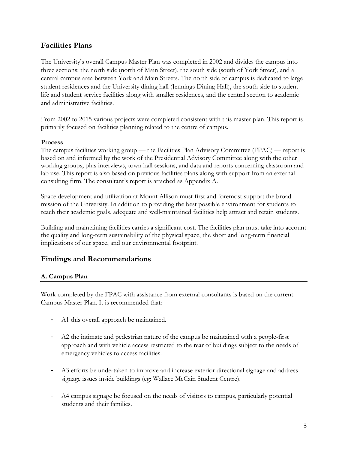## **Facilities Plans**

The University's overall Campus Master Plan was completed in 2002 and divides the campus into three sections: the north side (north of Main Street), the south side (south of York Street), and a central campus area between York and Main Streets. The north side of campus is dedicated to large student residences and the University dining hall (Jennings Dining Hall), the south side to student life and student service facilities along with smaller residences, and the central section to academic and administrative facilities.

From 2002 to 2015 various projects were completed consistent with this master plan. This report is primarily focused on facilities planning related to the centre of campus.

#### **Process**

The campus facilities working group — the Facilities Plan Advisory Committee (FPAC) — report is based on and informed by the work of the Presidential Advisory Committee along with the other working groups, plus interviews, town hall sessions, and data and reports concerning classroom and lab use. This report is also based on previous facilities plans along with support from an external consulting firm. The consultant's report is attached as Appendix A.

Space development and utilization at Mount Allison must first and foremost support the broad mission of the University. In addition to providing the best possible environment for students to reach their academic goals, adequate and well-maintained facilities help attract and retain students.

Building and maintaining facilities carries a significant cost. The facilities plan must take into account the quality and long-term sustainability of the physical space, the short and long-term financial implications of our space, and our environmental footprint.

# **Findings and Recommendations**

## **A. Campus Plan**

Work completed by the FPAC with assistance from external consultants is based on the current Campus Master Plan. It is recommended that:

- A1 this overall approach be maintained.
- A2 the intimate and pedestrian nature of the campus be maintained with a people-first approach and with vehicle access restricted to the rear of buildings subject to the needs of emergency vehicles to access facilities.
- A3 efforts be undertaken to improve and increase exterior directional signage and address signage issues inside buildings (eg: Wallace McCain Student Centre).
- A4 campus signage be focused on the needs of visitors to campus, particularly potential students and their families.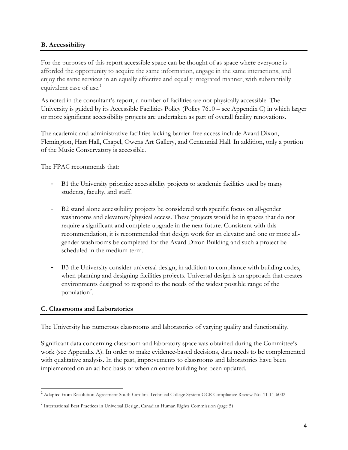#### **B. Accessibility**

For the purposes of this report accessible space can be thought of as space where everyone is afforded the opportunity to acquire the same information, engage in the same interactions, and enjoy the same services in an equally effective and equally integrated manner, with substantially equivalent ease of use. 1

As noted in the consultant's report, a number of facilities are not physically accessible. The University is guided by its Accessible Facilities Policy (Policy 7610 – see Appendix C) in which larger or more significant accessibility projects are undertaken as part of overall facility renovations.

The academic and administrative facilities lacking barrier-free access include Avard Dixon, Flemington, Hart Hall, Chapel, Owens Art Gallery, and Centennial Hall. In addition, only a portion of the Music Conservatory is accessible.

The FPAC recommends that:

- B1 the University prioritize accessibility projects to academic facilities used by many students, faculty, and staff.
- B2 stand alone accessibility projects be considered with specific focus on all-gender washrooms and elevators/physical access. These projects would be in spaces that do not require a significant and complete upgrade in the near future. Consistent with this recommendation, it is recommended that design work for an elevator and one or more allgender washrooms be completed for the Avard Dixon Building and such a project be scheduled in the medium term.
- B3 the University consider universal design, in addition to compliance with building codes, when planning and designing facilities projects. Universal design is an approach that creates environments designed to respond to the needs of the widest possible range of the population<sup>2</sup>.

#### **C. Classrooms and Laboratories**

The University has numerous classrooms and laboratories of varying quality and functionality.

Significant data concerning classroom and laboratory space was obtained during the Committee's work (see Appendix A). In order to make evidence-based decisions, data needs to be complemented with qualitative analysis. In the past, improvements to classrooms and laboratories have been implemented on an ad hoc basis or when an entire building has been updated.

 <sup>1</sup> Adapted from Resolution Agreement South Carolina Technical College System OCR Compliance Review No. 11-11-6002

<sup>2</sup> International Best Practices in Universal Design, Canadian Human Rights Commission (page 5)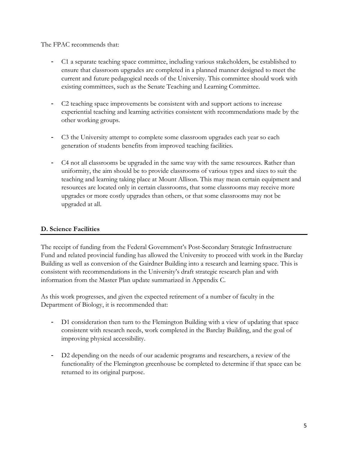#### The FPAC recommends that:

- C1 a separate teaching space committee, including various stakeholders, be established to ensure that classroom upgrades are completed in a planned manner designed to meet the current and future pedagogical needs of the University. This committee should work with existing committees, such as the Senate Teaching and Learning Committee.
- C2 teaching space improvements be consistent with and support actions to increase experiential teaching and learning activities consistent with recommendations made by the other working groups.
- C3 the University attempt to complete some classroom upgrades each year so each generation of students benefits from improved teaching facilities.
- C4 not all classrooms be upgraded in the same way with the same resources. Rather than uniformity, the aim should be to provide classrooms of various types and sizes to suit the teaching and learning taking place at Mount Allison. This may mean certain equipment and resources are located only in certain classrooms, that some classrooms may receive more upgrades or more costly upgrades than others, or that some classrooms may not be upgraded at all.

#### **D. Science Facilities**

The receipt of funding from the Federal Government's Post-Secondary Strategic Infrastructure Fund and related provincial funding has allowed the University to proceed with work in the Barclay Building as well as conversion of the Gairdner Building into a research and learning space. This is consistent with recommendations in the University's draft strategic research plan and with information from the Master Plan update summarized in Appendix C.

As this work progresses, and given the expected retirement of a number of faculty in the Department of Biology, it is recommended that:

- D1 consideration then turn to the Flemington Building with a view of updating that space consistent with research needs, work completed in the Barclay Building, and the goal of improving physical accessibility.
- D2 depending on the needs of our academic programs and researchers, a review of the functionality of the Flemington greenhouse be completed to determine if that space can be returned to its original purpose.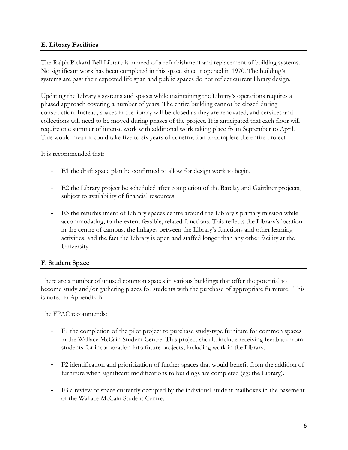#### **E. Library Facilities**

The Ralph Pickard Bell Library is in need of a refurbishment and replacement of building systems. No significant work has been completed in this space since it opened in 1970. The building's systems are past their expected life span and public spaces do not reflect current library design.

Updating the Library's systems and spaces while maintaining the Library's operations requires a phased approach covering a number of years. The entire building cannot be closed during construction. Instead, spaces in the library will be closed as they are renovated, and services and collections will need to be moved during phases of the project. It is anticipated that each floor will require one summer of intense work with additional work taking place from September to April. This would mean it could take five to six years of construction to complete the entire project.

It is recommended that:

- E1 the draft space plan be confirmed to allow for design work to begin.
- E2 the Library project be scheduled after completion of the Barclay and Gairdner projects, subject to availability of financial resources.
- E3 the refurbishment of Library spaces centre around the Library's primary mission while accommodating, to the extent feasible, related functions. This reflects the Library's location in the centre of campus, the linkages between the Library's functions and other learning activities, and the fact the Library is open and staffed longer than any other facility at the University.

## **F. Student Space**

There are a number of unused common spaces in various buildings that offer the potential to become study and/or gathering places for students with the purchase of appropriate furniture. This is noted in Appendix B.

The FPAC recommends:

- F1 the completion of the pilot project to purchase study-type furniture for common spaces in the Wallace McCain Student Centre. This project should include receiving feedback from students for incorporation into future projects, including work in the Library.
- F2 identification and prioritization of further spaces that would benefit from the addition of furniture when significant modifications to buildings are completed (eg: the Library).
- F3 a review of space currently occupied by the individual student mailboxes in the basement of the Wallace McCain Student Centre.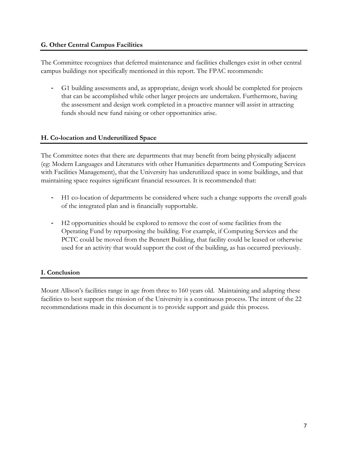#### **G. Other Central Campus Facilities**

The Committee recognizes that deferred maintenance and facilities challenges exist in other central campus buildings not specifically mentioned in this report. The FPAC recommends:

- G1 building assessments and, as appropriate, design work should be completed for projects that can be accomplished while other larger projects are undertaken. Furthermore, having the assessment and design work completed in a proactive manner will assist in attracting funds should new fund raising or other opportunities arise.

## **H. Co-location and Underutilized Space**

The Committee notes that there are departments that may benefit from being physically adjacent (eg: Modern Languages and Literatures with other Humanities departments and Computing Services with Facilities Management), that the University has underutilized space in some buildings, and that maintaining space requires significant financial resources. It is recommended that:

- H1 co-location of departments be considered where such a change supports the overall goals of the integrated plan and is financially supportable.
- H2 opportunities should be explored to remove the cost of some facilities from the Operating Fund by repurposing the building. For example, if Computing Services and the PCTC could be moved from the Bennett Building, that facility could be leased or otherwise used for an activity that would support the cost of the building, as has occurred previously.

## **I. Conclusion**

Mount Allison's facilities range in age from three to 160 years old. Maintaining and adapting these facilities to best support the mission of the University is a continuous process. The intent of the 22 recommendations made in this document is to provide support and guide this process.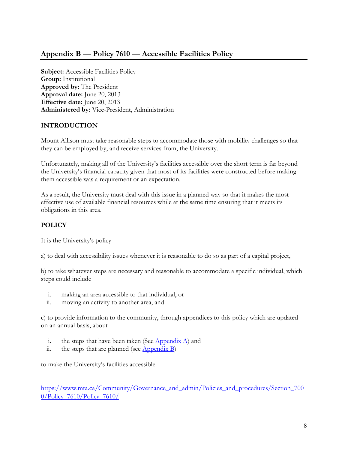# **Appendix B — Policy 7610 — Accessible Facilities Policy**

**Subject:** Accessible Facilities Policy **Group:** Institutional **Approved by:** The President **Approval date:** June 20, 2013 **Effective date:** June 20, 2013 **Administered by:** Vice-President, Administration

## **INTRODUCTION**

Mount Allison must take reasonable steps to accommodate those with mobility challenges so that they can be employed by, and receive services from, the University.

Unfortunately, making all of the University's facilities accessible over the short term is far beyond the University's financial capacity given that most of its facilities were constructed before making them accessible was a requirement or an expectation.

As a result, the University must deal with this issue in a planned way so that it makes the most effective use of available financial resources while at the same time ensuring that it meets its obligations in this area.

## **POLICY**

It is the University's policy

a) to deal with accessibility issues whenever it is reasonable to do so as part of a capital project,

b) to take whatever steps are necessary and reasonable to accommodate a specific individual, which steps could include

- i. making an area accessible to that individual, or
- ii. moving an activity to another area, and

c) to provide information to the community, through appendices to this policy which are updated on an annual basis, about

- i. the steps that have been taken (See  $\Delta$ ppendix  $\Delta$ ) and
- ii. the steps that are planned (see  $\Delta$ ppendix B)

to make the University's facilities accessible.

https://www.mta.ca/Community/Governance\_and\_admin/Policies\_and\_procedures/Section\_700 0/Policy\_7610/Policy\_7610/